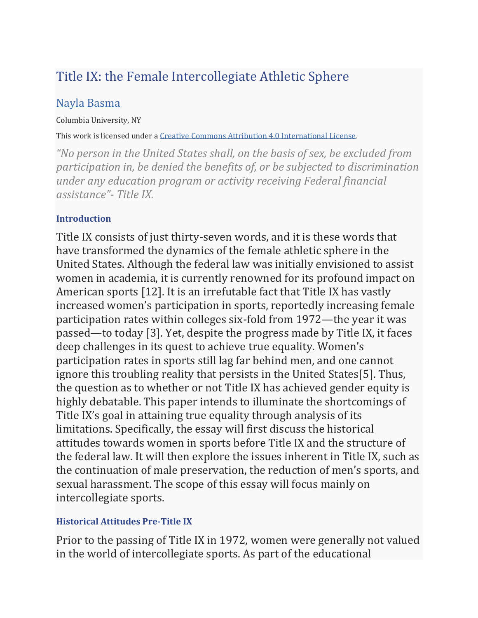# Title IX: the Female Intercollegiate Athletic Sphere

## [Nayla Basma](https://curj.columbia.edu/authors/nayla-basma/)

#### Columbia University, NY

This work is licensed under a [Creative Commons Attribution 4.0 International License.](http://creativecommons.org/licenses/by/4.0/)

*"No person in the United States shall, on the basis of sex, be excluded from participation in, be denied the benefits of, or be subjected to discrimination under any education program or activity receiving Federal financial assistance"- Title IX.*

### **Introduction**

Title IX consists of just thirty-seven words, and it is these words that have transformed the dynamics of the female athletic sphere in the United States. Although the federal law was initially envisioned to assist women in academia, it is currently renowned for its profound impact on American sports [12]. It is an irrefutable fact that Title IX has vastly increased women's participation in sports, reportedly increasing female participation rates within colleges six-fold from 1972—the year it was passed—to today [3]. Yet, despite the progress made by Title IX, it faces deep challenges in its quest to achieve true equality. Women's participation rates in sports still lag far behind men, and one cannot ignore this troubling reality that persists in the United States[5]. Thus, the question as to whether or not Title IX has achieved gender equity is highly debatable. This paper intends to illuminate the shortcomings of Title IX's goal in attaining true equality through analysis of its limitations. Specifically, the essay will first discuss the historical attitudes towards women in sports before Title IX and the structure of the federal law. It will then explore the issues inherent in Title IX, such as the continuation of male preservation, the reduction of men's sports, and sexual harassment. The scope of this essay will focus mainly on intercollegiate sports.

### **Historical Attitudes Pre-Title IX**

Prior to the passing of Title IX in 1972, women were generally not valued in the world of intercollegiate sports. As part of the educational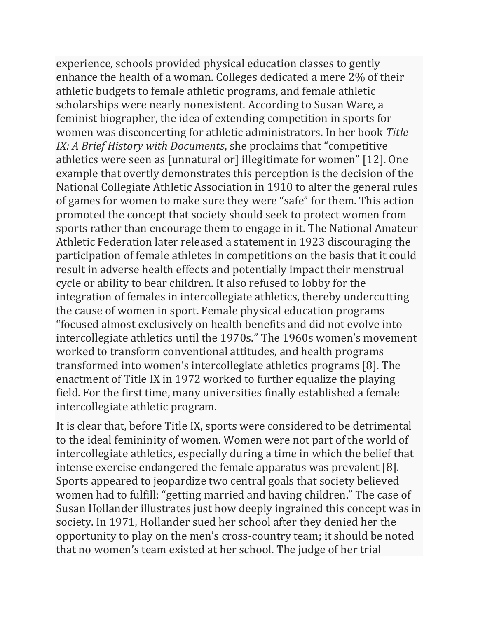experience, schools provided physical education classes to gently enhance the health of a woman. Colleges dedicated a mere 2% of their athletic budgets to female athletic programs, and female athletic scholarships were nearly nonexistent. According to Susan Ware, a feminist biographer, the idea of extending competition in sports for women was disconcerting for athletic administrators. In her book *Title IX: A Brief History with Documents*, she proclaims that "competitive athletics were seen as [unnatural or] illegitimate for women" [12]. One example that overtly demonstrates this perception is the decision of the National Collegiate Athletic Association in 1910 to alter the general rules of games for women to make sure they were "safe" for them. This action promoted the concept that society should seek to protect women from sports rather than encourage them to engage in it. The National Amateur Athletic Federation later released a statement in 1923 discouraging the participation of female athletes in competitions on the basis that it could result in adverse health effects and potentially impact their menstrual cycle or ability to bear children. It also refused to lobby for the integration of females in intercollegiate athletics, thereby undercutting the cause of women in sport. Female physical education programs "focused almost exclusively on health benefits and did not evolve into intercollegiate athletics until the 1970s." The 1960s women's movement worked to transform conventional attitudes, and health programs transformed into women's intercollegiate athletics programs [8]. The enactment of Title IX in 1972 worked to further equalize the playing field. For the first time, many universities finally established a female intercollegiate athletic program.

It is clear that, before Title IX, sports were considered to be detrimental to the ideal femininity of women. Women were not part of the world of intercollegiate athletics, especially during a time in which the belief that intense exercise endangered the female apparatus was prevalent [8]. Sports appeared to jeopardize two central goals that society believed women had to fulfill: "getting married and having children." The case of Susan Hollander illustrates just how deeply ingrained this concept was in society. In 1971, Hollander sued her school after they denied her the opportunity to play on the men's cross-country team; it should be noted that no women's team existed at her school. The judge of her trial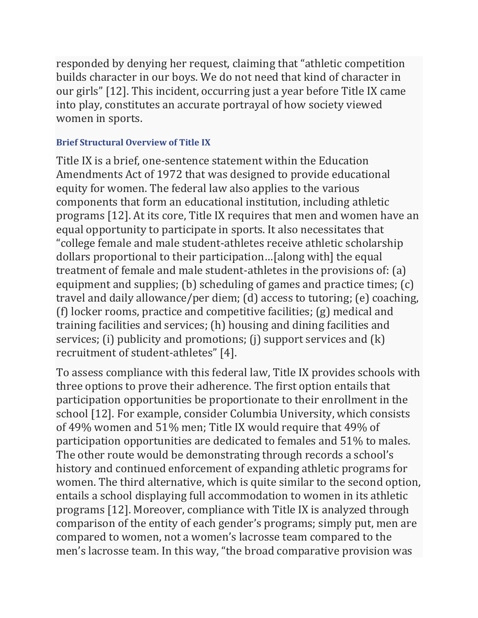responded by denying her request, claiming that "athletic competition builds character in our boys. We do not need that kind of character in our girls" [12]. This incident, occurring just a year before Title IX came into play, constitutes an accurate portrayal of how society viewed women in sports.

### **Brief Structural Overview of Title IX**

Title IX is a brief, one-sentence statement within the Education Amendments Act of 1972 that was designed to provide educational equity for women. The federal law also applies to the various components that form an educational institution, including athletic programs [12]. At its core, Title IX requires that men and women have an equal opportunity to participate in sports. It also necessitates that "college female and male student-athletes receive athletic scholarship dollars proportional to their participation…[along with] the equal treatment of female and male student-athletes in the provisions of: (a) equipment and supplies; (b) scheduling of games and practice times; (c) travel and daily allowance/per diem; (d) access to tutoring; (e) coaching, (f) locker rooms, practice and competitive facilities; (g) medical and training facilities and services; (h) housing and dining facilities and services; (i) publicity and promotions; (j) support services and (k) recruitment of student-athletes" [4].

To assess compliance with this federal law, Title IX provides schools with three options to prove their adherence. The first option entails that participation opportunities be proportionate to their enrollment in the school [12]. For example, consider Columbia University, which consists of 49% women and 51% men; Title IX would require that 49% of participation opportunities are dedicated to females and 51% to males. The other route would be demonstrating through records a school's history and continued enforcement of expanding athletic programs for women. The third alternative, which is quite similar to the second option, entails a school displaying full accommodation to women in its athletic programs [12]. Moreover, compliance with Title IX is analyzed through comparison of the entity of each gender's programs; simply put, men are compared to women, not a women's lacrosse team compared to the men's lacrosse team. In this way, "the broad comparative provision was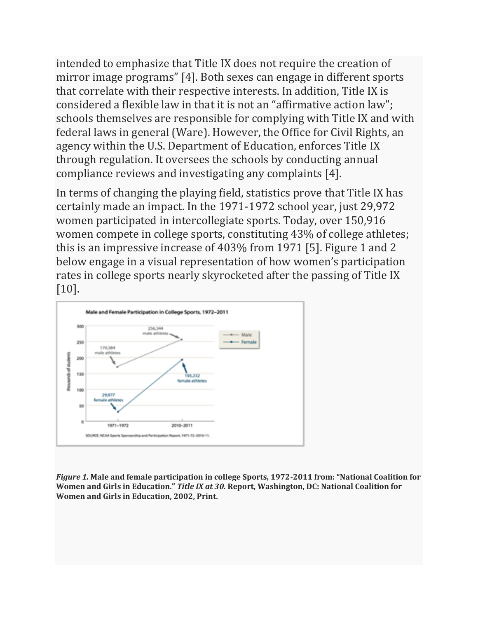intended to emphasize that Title IX does not require the creation of mirror image programs" [4]. Both sexes can engage in different sports that correlate with their respective interests. In addition, Title IX is considered a flexible law in that it is not an "affirmative action law"; schools themselves are responsible for complying with Title IX and with federal laws in general (Ware). However, the Office for Civil Rights, an agency within the U.S. Department of Education, enforces Title IX through regulation. It oversees the schools by conducting annual compliance reviews and investigating any complaints [4].

In terms of changing the playing field, statistics prove that Title IX has certainly made an impact. In the 1971-1972 school year, just 29,972 women participated in intercollegiate sports. Today, over 150,916 women compete in college sports, constituting 43% of college athletes; this is an impressive increase of 403% from 1971 [5]. Figure 1 and 2 below engage in a visual representation of how women's participation rates in college sports nearly skyrocketed after the passing of Title IX [10].



*Figure 1.* **Male and female participation in college Sports, 1972-2011 from: "National Coalition for Women and Girls in Education."** *Title IX at 30.* **Report, Washington, DC: National Coalition for Women and Girls in Education, 2002, Print.**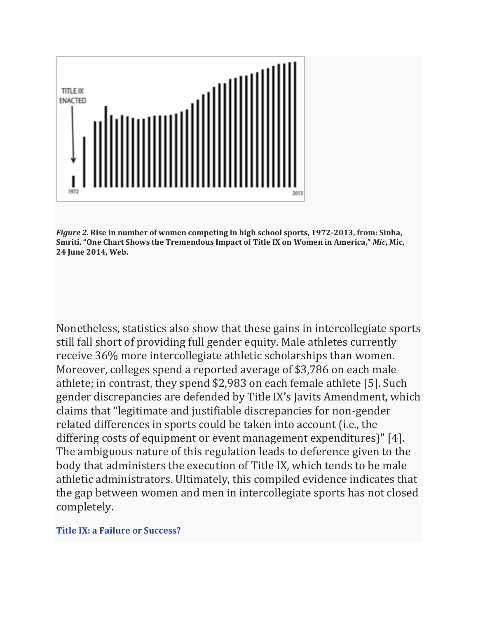

*Figure 2.* **Rise in number of women competing in high school sports, 1972-2013, from: Sinha, Smriti. "One Chart Shows the Tremendous Impact of Title IX on Women in America,"** *Mic***, Mic, 24 June 2014, Web.**

Nonetheless, statistics also show that these gains in intercollegiate sports still fall short of providing full gender equity. Male athletes currently receive 36% more intercollegiate athletic scholarships than women. Moreover, colleges spend a reported average of \$3,786 on each male athlete; in contrast, they spend \$2,983 on each female athlete [5]. Such gender discrepancies are defended by Title IX's Javits Amendment, which claims that "legitimate and justifiable discrepancies for non-gender related differences in sports could be taken into account (i.e., the differing costs of equipment or event management expenditures)" [4]. The ambiguous nature of this regulation leads to deference given to the body that administers the execution of Title IX, which tends to be male athletic administrators. Ultimately, this compiled evidence indicates that the gap between women and men in intercollegiate sports has not closed completely.

#### **Title IX: a Failure or Success?**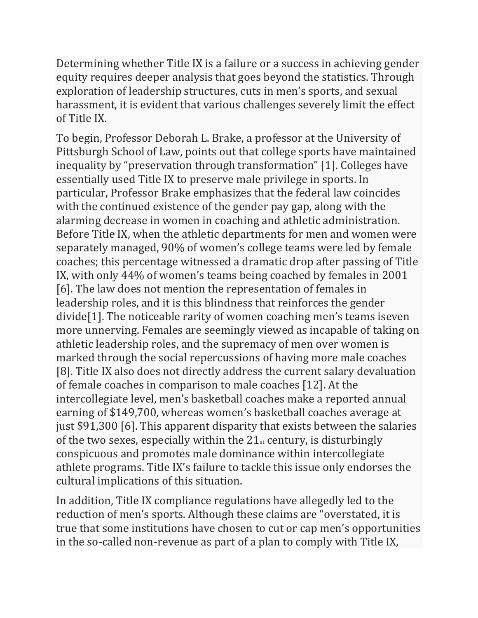Determining whether Title IX is a failure or a success in achieving gender equity requires deeper analysis that goes beyond the statistics. Through exploration of leadership structures, cuts in men's sports, and sexual harassment, it is evident that various challenges severely limit the effect of Title IX.

To begin, Professor Deborah L. Brake, a professor at the University of Pittsburgh School of Law, points out that college sports have maintained inequality by "preservation through transformation" [1]. Colleges have essentially used Title IX to preserve male privilege in sports. In particular, Professor Brake emphasizes that the federal law coincides with the continued existence of the gender pay gap, along with the alarming decrease in women in coaching and athletic administration. Before Title IX, when the athletic departments for men and women were separately managed, 90% of women's college teams were led by female coaches; this percentage witnessed a dramatic drop after passing of Title IX, with only 44% of women's teams being coached by females in 2001 [6]. The law does not mention the representation of females in leadership roles, and it is this blindness that reinforces the gender divide[1]. The noticeable rarity of women coaching men's teams iseven more unnerving. Females are seemingly viewed as incapable of taking on athletic leadership roles, and the supremacy of men over women is marked through the social repercussions of having more male coaches [8]. Title IX also does not directly address the current salary devaluation of female coaches in comparison to male coaches [12]. At the intercollegiate level, men's basketball coaches make a reported annual earning of \$149,700, whereas women's basketball coaches average at just \$91,300 [6]. This apparent disparity that exists between the salaries of the two sexes, especially within the  $21<sub>st</sub>$  century, is disturbingly conspicuous and promotes male dominance within intercollegiate athlete programs. Title IX's failure to tackle this issue only endorses the cultural implications of this situation.

In addition, Title IX compliance regulations have allegedly led to the reduction of men's sports. Although these claims are "overstated, it is true that some institutions have chosen to cut or cap men's opportunities in the so-called non-revenue as part of a plan to comply with Title IX,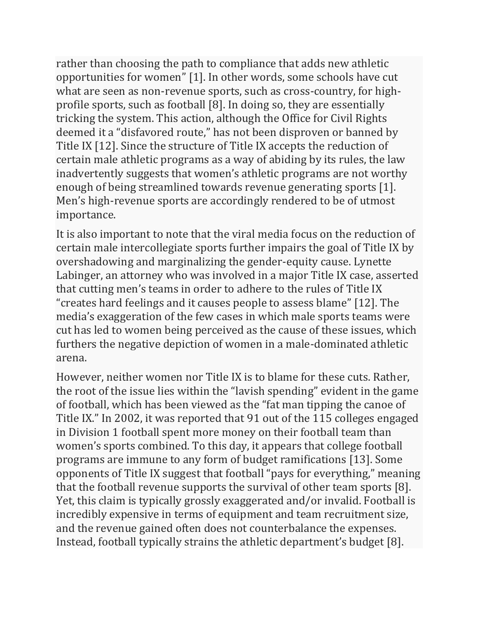rather than choosing the path to compliance that adds new athletic opportunities for women" [1]. In other words, some schools have cut what are seen as non-revenue sports, such as cross-country, for highprofile sports, such as football [8]. In doing so, they are essentially tricking the system. This action, although the Office for Civil Rights deemed it a "disfavored route," has not been disproven or banned by Title IX [12]. Since the structure of Title IX accepts the reduction of certain male athletic programs as a way of abiding by its rules, the law inadvertently suggests that women's athletic programs are not worthy enough of being streamlined towards revenue generating sports [1]. Men's high-revenue sports are accordingly rendered to be of utmost importance.

It is also important to note that the viral media focus on the reduction of certain male intercollegiate sports further impairs the goal of Title IX by overshadowing and marginalizing the gender-equity cause. Lynette Labinger, an attorney who was involved in a major Title IX case, asserted that cutting men's teams in order to adhere to the rules of Title IX "creates hard feelings and it causes people to assess blame" [12]. The media's exaggeration of the few cases in which male sports teams were cut has led to women being perceived as the cause of these issues, which furthers the negative depiction of women in a male-dominated athletic arena.

However, neither women nor Title IX is to blame for these cuts. Rather, the root of the issue lies within the "lavish spending" evident in the game of football, which has been viewed as the "fat man tipping the canoe of Title IX." In 2002, it was reported that 91 out of the 115 colleges engaged in Division 1 football spent more money on their football team than women's sports combined. To this day, it appears that college football programs are immune to any form of budget ramifications [13]. Some opponents of Title IX suggest that football "pays for everything," meaning that the football revenue supports the survival of other team sports [8]. Yet, this claim is typically grossly exaggerated and/or invalid. Football is incredibly expensive in terms of equipment and team recruitment size, and the revenue gained often does not counterbalance the expenses. Instead, football typically strains the athletic department's budget [8].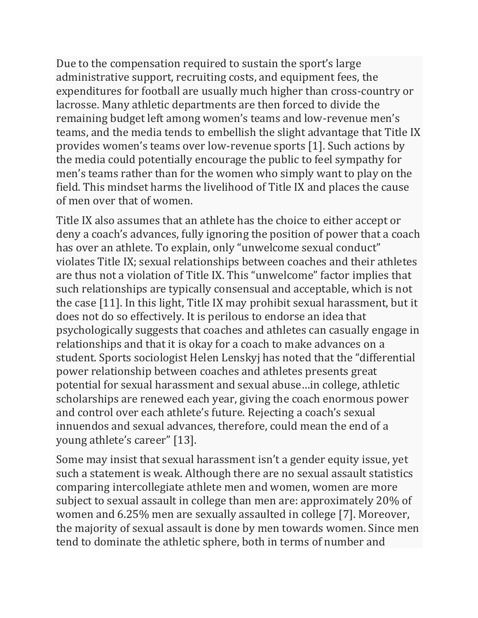Due to the compensation required to sustain the sport's large administrative support, recruiting costs, and equipment fees, the expenditures for football are usually much higher than cross-country or lacrosse. Many athletic departments are then forced to divide the remaining budget left among women's teams and low-revenue men's teams, and the media tends to embellish the slight advantage that Title IX provides women's teams over low-revenue sports [1]. Such actions by the media could potentially encourage the public to feel sympathy for men's teams rather than for the women who simply want to play on the field. This mindset harms the livelihood of Title IX and places the cause of men over that of women.

Title IX also assumes that an athlete has the choice to either accept or deny a coach's advances, fully ignoring the position of power that a coach has over an athlete. To explain, only "unwelcome sexual conduct" violates Title IX; sexual relationships between coaches and their athletes are thus not a violation of Title IX. This "unwelcome" factor implies that such relationships are typically consensual and acceptable, which is not the case [11]. In this light, Title IX may prohibit sexual harassment, but it does not do so effectively. It is perilous to endorse an idea that psychologically suggests that coaches and athletes can casually engage in relationships and that it is okay for a coach to make advances on a student. Sports sociologist Helen Lenskyj has noted that the "differential power relationship between coaches and athletes presents great potential for sexual harassment and sexual abuse…in college, athletic scholarships are renewed each year, giving the coach enormous power and control over each athlete's future. Rejecting a coach's sexual innuendos and sexual advances, therefore, could mean the end of a young athlete's career" [13].

Some may insist that sexual harassment isn't a gender equity issue, yet such a statement is weak. Although there are no sexual assault statistics comparing intercollegiate athlete men and women, women are more subject to sexual assault in college than men are: approximately 20% of women and 6.25% men are sexually assaulted in college [7]. Moreover, the majority of sexual assault is done by men towards women. Since men tend to dominate the athletic sphere, both in terms of number and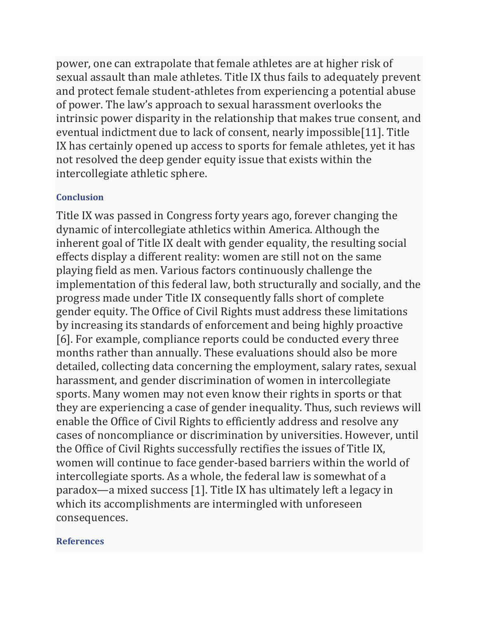power, one can extrapolate that female athletes are at higher risk of sexual assault than male athletes. Title IX thus fails to adequately prevent and protect female student-athletes from experiencing a potential abuse of power. The law's approach to sexual harassment overlooks the intrinsic power disparity in the relationship that makes true consent, and eventual indictment due to lack of consent, nearly impossible[11]. Title IX has certainly opened up access to sports for female athletes, yet it has not resolved the deep gender equity issue that exists within the intercollegiate athletic sphere.

### **Conclusion**

Title IX was passed in Congress forty years ago, forever changing the dynamic of intercollegiate athletics within America. Although the inherent goal of Title IX dealt with gender equality, the resulting social effects display a different reality: women are still not on the same playing field as men. Various factors continuously challenge the implementation of this federal law, both structurally and socially, and the progress made under Title IX consequently falls short of complete gender equity. The Office of Civil Rights must address these limitations by increasing its standards of enforcement and being highly proactive [6]. For example, compliance reports could be conducted every three months rather than annually. These evaluations should also be more detailed, collecting data concerning the employment, salary rates, sexual harassment, and gender discrimination of women in intercollegiate sports. Many women may not even know their rights in sports or that they are experiencing a case of gender inequality. Thus, such reviews will enable the Office of Civil Rights to efficiently address and resolve any cases of noncompliance or discrimination by universities. However, until the Office of Civil Rights successfully rectifies the issues of Title IX, women will continue to face gender-based barriers within the world of intercollegiate sports. As a whole, the federal law is somewhat of a paradox—a mixed success [1]. Title IX has ultimately left a legacy in which its accomplishments are intermingled with unforeseen consequences.

#### **References**